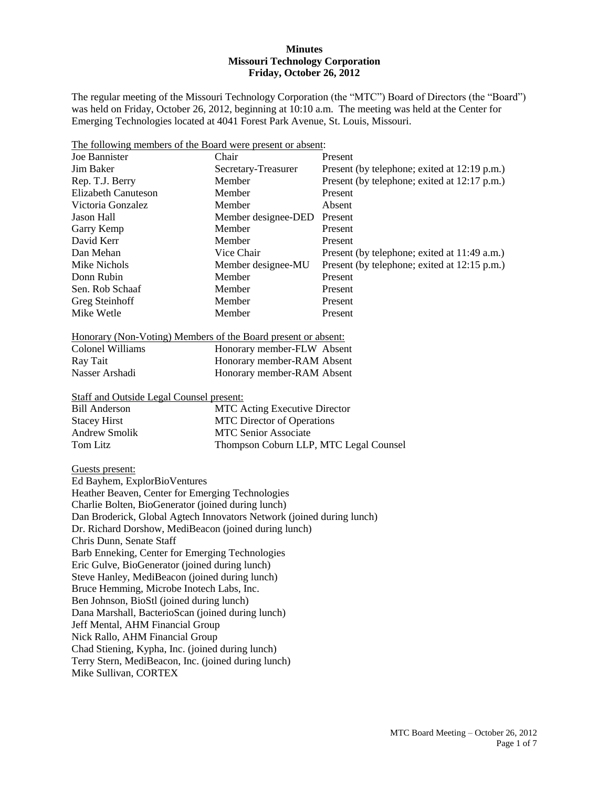#### **Minutes Missouri Technology Corporation Friday, October 26, 2012**

The regular meeting of the Missouri Technology Corporation (the "MTC") Board of Directors (the "Board") was held on Friday, October 26, 2012, beginning at 10:10 a.m. The meeting was held at the Center for Emerging Technologies located at 4041 Forest Park Avenue, St. Louis, Missouri.

|  |  | The following members of the Board were present or absent: |  |
|--|--|------------------------------------------------------------|--|
|--|--|------------------------------------------------------------|--|

| Joe Bannister       | Chair               | Present                                      |
|---------------------|---------------------|----------------------------------------------|
| Jim Baker           | Secretary-Treasurer | Present (by telephone; exited at 12:19 p.m.) |
| Rep. T.J. Berry     | <b>Member</b>       | Present (by telephone; exited at 12:17 p.m.) |
| Elizabeth Canuteson | Member              | Present                                      |
| Victoria Gonzalez   | Member              | Absent                                       |
| Jason Hall          | Member designee-DED | Present                                      |
| Garry Kemp          | Member              | Present                                      |
| David Kerr          | Member              | Present                                      |
| Dan Mehan           | Vice Chair          | Present (by telephone; exited at 11:49 a.m.) |
| Mike Nichols        | Member designee-MU  | Present (by telephone; exited at 12:15 p.m.) |
| Donn Rubin          | Member              | Present                                      |
| Sen. Rob Schaaf     | Member              | Present                                      |
| Greg Steinhoff      | Member              | Present                                      |
| Mike Wetle          | Member              | Present                                      |

|  | Honorary (Non-Voting) Members of the Board present or absent: |  |  |
|--|---------------------------------------------------------------|--|--|
|  |                                                               |  |  |

| Colonel Williams | Honorary member-FLW Absent |
|------------------|----------------------------|
| Ray Tait         | Honorary member-RAM Absent |
| Nasser Arshadi   | Honorary member-RAM Absent |

Staff and Outside Legal Counsel present:

| <b>Bill Anderson</b> | <b>MTC</b> Acting Executive Director   |
|----------------------|----------------------------------------|
| <b>Stacey Hirst</b>  | <b>MTC</b> Director of Operations      |
| Andrew Smolik        | <b>MTC Senior Associate</b>            |
| Tom Litz             | Thompson Coburn LLP, MTC Legal Counsel |

#### Guests present:

Ed Bayhem, ExplorBioVentures Heather Beaven, Center for Emerging Technologies Charlie Bolten, BioGenerator (joined during lunch) Dan Broderick, Global Agtech Innovators Network (joined during lunch) Dr. Richard Dorshow, MediBeacon (joined during lunch) Chris Dunn, Senate Staff Barb Enneking, Center for Emerging Technologies Eric Gulve, BioGenerator (joined during lunch) Steve Hanley, MediBeacon (joined during lunch) Bruce Hemming, Microbe Inotech Labs, Inc. Ben Johnson, BioStl (joined during lunch) Dana Marshall, BacterioScan (joined during lunch) Jeff Mental, AHM Financial Group Nick Rallo, AHM Financial Group Chad Stiening, Kypha, Inc. (joined during lunch) Terry Stern, MediBeacon, Inc. (joined during lunch) Mike Sullivan, CORTEX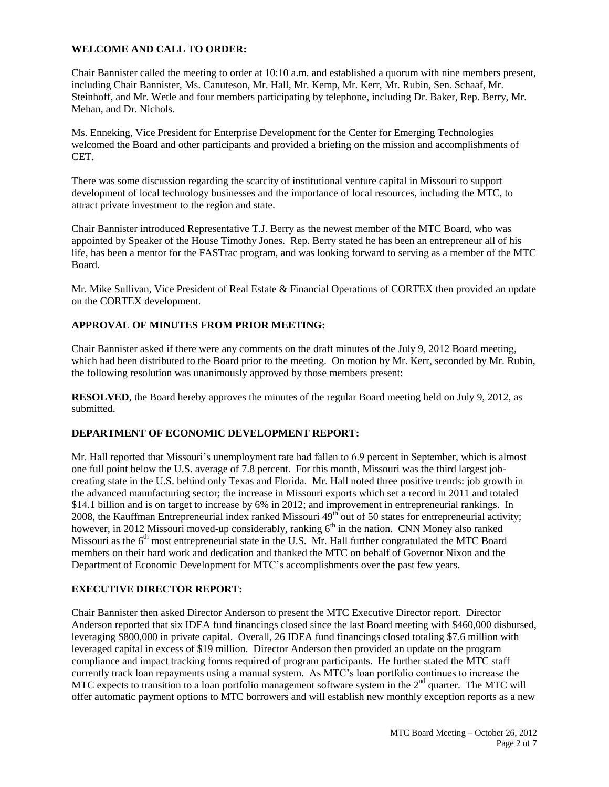## **WELCOME AND CALL TO ORDER:**

Chair Bannister called the meeting to order at 10:10 a.m. and established a quorum with nine members present, including Chair Bannister, Ms. Canuteson, Mr. Hall, Mr. Kemp, Mr. Kerr, Mr. Rubin, Sen. Schaaf, Mr. Steinhoff, and Mr. Wetle and four members participating by telephone, including Dr. Baker, Rep. Berry, Mr. Mehan, and Dr. Nichols.

Ms. Enneking, Vice President for Enterprise Development for the Center for Emerging Technologies welcomed the Board and other participants and provided a briefing on the mission and accomplishments of CET.

There was some discussion regarding the scarcity of institutional venture capital in Missouri to support development of local technology businesses and the importance of local resources, including the MTC, to attract private investment to the region and state.

Chair Bannister introduced Representative T.J. Berry as the newest member of the MTC Board, who was appointed by Speaker of the House Timothy Jones. Rep. Berry stated he has been an entrepreneur all of his life, has been a mentor for the FASTrac program, and was looking forward to serving as a member of the MTC Board.

Mr. Mike Sullivan, Vice President of Real Estate & Financial Operations of CORTEX then provided an update on the CORTEX development.

## **APPROVAL OF MINUTES FROM PRIOR MEETING:**

Chair Bannister asked if there were any comments on the draft minutes of the July 9, 2012 Board meeting, which had been distributed to the Board prior to the meeting. On motion by Mr. Kerr, seconded by Mr. Rubin, the following resolution was unanimously approved by those members present:

**RESOLVED**, the Board hereby approves the minutes of the regular Board meeting held on July 9, 2012, as submitted.

### **DEPARTMENT OF ECONOMIC DEVELOPMENT REPORT:**

Mr. Hall reported that Missouri's unemployment rate had fallen to 6.9 percent in September, which is almost one full point below the U.S. average of 7.8 percent. For this month, Missouri was the third largest jobcreating state in the U.S. behind only Texas and Florida. Mr. Hall noted three positive trends: job growth in the advanced manufacturing sector; the increase in Missouri exports which set a record in 2011 and totaled \$14.1 billion and is on target to increase by 6% in 2012; and improvement in entrepreneurial rankings. In 2008, the Kauffman Entrepreneurial index ranked Missouri 49<sup>th</sup> out of 50 states for entrepreneurial activity; however, in 2012 Missouri moved-up considerably, ranking  $6<sup>th</sup>$  in the nation. CNN Money also ranked Missouri as the  $6<sup>th</sup>$  most entrepreneurial state in the U.S. Mr. Hall further congratulated the MTC Board members on their hard work and dedication and thanked the MTC on behalf of Governor Nixon and the Department of Economic Development for MTC's accomplishments over the past few years.

## **EXECUTIVE DIRECTOR REPORT:**

Chair Bannister then asked Director Anderson to present the MTC Executive Director report. Director Anderson reported that six IDEA fund financings closed since the last Board meeting with \$460,000 disbursed, leveraging \$800,000 in private capital. Overall, 26 IDEA fund financings closed totaling \$7.6 million with leveraged capital in excess of \$19 million. Director Anderson then provided an update on the program compliance and impact tracking forms required of program participants. He further stated the MTC staff currently track loan repayments using a manual system. As MTC's loan portfolio continues to increase the MTC expects to transition to a loan portfolio management software system in the  $2<sup>nd</sup>$  quarter. The MTC will offer automatic payment options to MTC borrowers and will establish new monthly exception reports as a new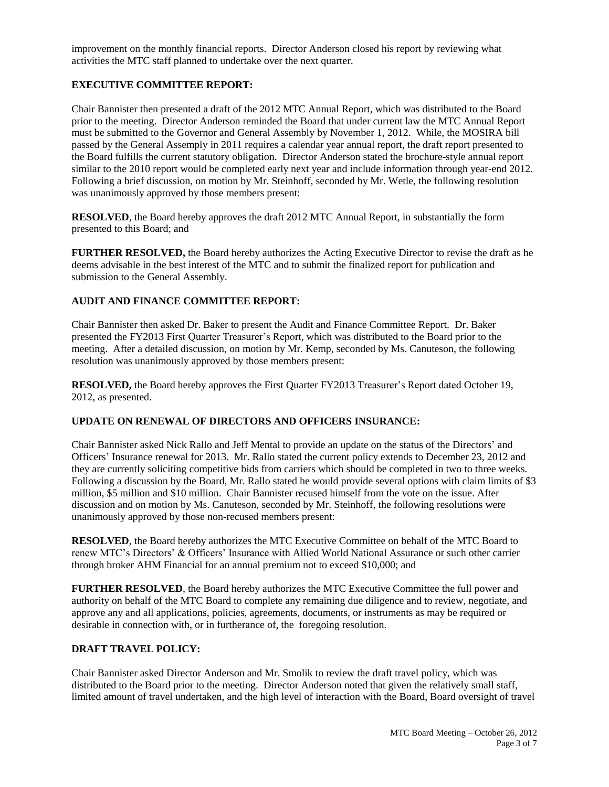improvement on the monthly financial reports. Director Anderson closed his report by reviewing what activities the MTC staff planned to undertake over the next quarter.

## **EXECUTIVE COMMITTEE REPORT:**

Chair Bannister then presented a draft of the 2012 MTC Annual Report, which was distributed to the Board prior to the meeting. Director Anderson reminded the Board that under current law the MTC Annual Report must be submitted to the Governor and General Assembly by November 1, 2012. While, the MOSIRA bill passed by the General Assemply in 2011 requires a calendar year annual report, the draft report presented to the Board fulfills the current statutory obligation. Director Anderson stated the brochure-style annual report similar to the 2010 report would be completed early next year and include information through year-end 2012. Following a brief discussion, on motion by Mr. Steinhoff, seconded by Mr. Wetle, the following resolution was unanimously approved by those members present:

**RESOLVED**, the Board hereby approves the draft 2012 MTC Annual Report, in substantially the form presented to this Board; and

**FURTHER RESOLVED,** the Board hereby authorizes the Acting Executive Director to revise the draft as he deems advisable in the best interest of the MTC and to submit the finalized report for publication and submission to the General Assembly.

## **AUDIT AND FINANCE COMMITTEE REPORT:**

Chair Bannister then asked Dr. Baker to present the Audit and Finance Committee Report. Dr. Baker presented the FY2013 First Quarter Treasurer's Report, which was distributed to the Board prior to the meeting. After a detailed discussion, on motion by Mr. Kemp, seconded by Ms. Canuteson, the following resolution was unanimously approved by those members present:

**RESOLVED,** the Board hereby approves the First Quarter FY2013 Treasurer's Report dated October 19, 2012, as presented.

## **UPDATE ON RENEWAL OF DIRECTORS AND OFFICERS INSURANCE:**

Chair Bannister asked Nick Rallo and Jeff Mental to provide an update on the status of the Directors' and Officers' Insurance renewal for 2013. Mr. Rallo stated the current policy extends to December 23, 2012 and they are currently soliciting competitive bids from carriers which should be completed in two to three weeks. Following a discussion by the Board, Mr. Rallo stated he would provide several options with claim limits of \$3 million, \$5 million and \$10 million. Chair Bannister recused himself from the vote on the issue. After discussion and on motion by Ms. Canuteson, seconded by Mr. Steinhoff, the following resolutions were unanimously approved by those non-recused members present:

**RESOLVED**, the Board hereby authorizes the MTC Executive Committee on behalf of the MTC Board to renew MTC's Directors' & Officers' Insurance with Allied World National Assurance or such other carrier through broker AHM Financial for an annual premium not to exceed \$10,000; and

**FURTHER RESOLVED**, the Board hereby authorizes the MTC Executive Committee the full power and authority on behalf of the MTC Board to complete any remaining due diligence and to review, negotiate, and approve any and all applications, policies, agreements, documents, or instruments as may be required or desirable in connection with, or in furtherance of, the foregoing resolution.

#### **DRAFT TRAVEL POLICY:**

Chair Bannister asked Director Anderson and Mr. Smolik to review the draft travel policy, which was distributed to the Board prior to the meeting. Director Anderson noted that given the relatively small staff, limited amount of travel undertaken, and the high level of interaction with the Board, Board oversight of travel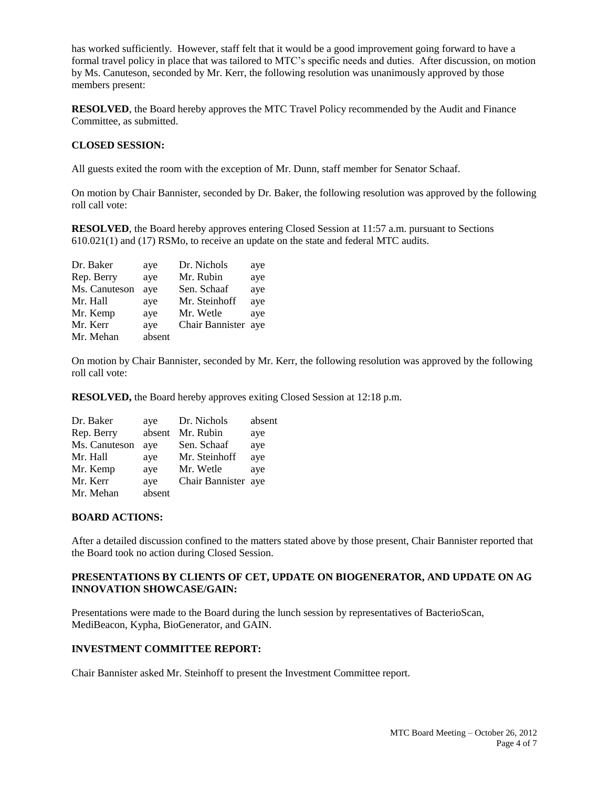has worked sufficiently. However, staff felt that it would be a good improvement going forward to have a formal travel policy in place that was tailored to MTC's specific needs and duties. After discussion, on motion by Ms. Canuteson, seconded by Mr. Kerr, the following resolution was unanimously approved by those members present:

**RESOLVED**, the Board hereby approves the MTC Travel Policy recommended by the Audit and Finance Committee, as submitted.

### **CLOSED SESSION:**

All guests exited the room with the exception of Mr. Dunn, staff member for Senator Schaaf.

On motion by Chair Bannister, seconded by Dr. Baker, the following resolution was approved by the following roll call vote:

**RESOLVED**, the Board hereby approves entering Closed Session at 11:57 a.m. pursuant to Sections 610.021(1) and (17) RSMo, to receive an update on the state and federal MTC audits.

| Dr. Baker     | aye    | Dr. Nichols         | aye |
|---------------|--------|---------------------|-----|
| Rep. Berry    | aye    | Mr. Rubin           | aye |
| Ms. Canuteson | aye    | Sen. Schaaf         | aye |
| Mr. Hall      | aye    | Mr. Steinhoff       | aye |
| Mr. Kemp      | aye    | Mr. Wetle           | aye |
| Mr. Kerr      | aye    | Chair Bannister aye |     |
| Mr. Mehan     | absent |                     |     |
|               |        |                     |     |

On motion by Chair Bannister, seconded by Mr. Kerr, the following resolution was approved by the following roll call vote:

**RESOLVED,** the Board hereby approves exiting Closed Session at 12:18 p.m.

| Dr. Baker     | aye    | Dr. Nichols         | absent |
|---------------|--------|---------------------|--------|
| Rep. Berry    | absent | Mr. Rubin           | aye    |
| Ms. Canuteson | ave    | Sen. Schaaf         | aye    |
| Mr. Hall      | aye    | Mr. Steinhoff       | aye    |
| Mr. Kemp      | aye    | Mr. Wetle           | aye    |
| Mr. Kerr      | aye    | Chair Bannister aye |        |
| Mr. Mehan     | absent |                     |        |

#### **BOARD ACTIONS:**

After a detailed discussion confined to the matters stated above by those present, Chair Bannister reported that the Board took no action during Closed Session.

### **PRESENTATIONS BY CLIENTS OF CET, UPDATE ON BIOGENERATOR, AND UPDATE ON AG INNOVATION SHOWCASE/GAIN:**

Presentations were made to the Board during the lunch session by representatives of BacterioScan, MediBeacon, Kypha, BioGenerator, and GAIN.

#### **INVESTMENT COMMITTEE REPORT:**

Chair Bannister asked Mr. Steinhoff to present the Investment Committee report.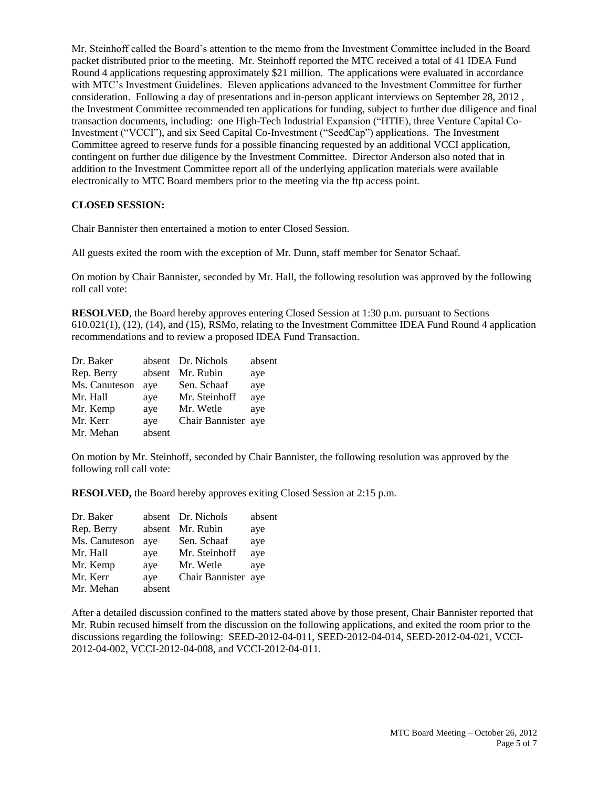Mr. Steinhoff called the Board's attention to the memo from the Investment Committee included in the Board packet distributed prior to the meeting. Mr. Steinhoff reported the MTC received a total of 41 IDEA Fund Round 4 applications requesting approximately \$21 million. The applications were evaluated in accordance with MTC's Investment Guidelines. Eleven applications advanced to the Investment Committee for further consideration. Following a day of presentations and in-person applicant interviews on September 28, 2012 , the Investment Committee recommended ten applications for funding, subject to further due diligence and final transaction documents, including: one High-Tech Industrial Expansion ("HTIE), three Venture Capital Co-Investment ("VCCI"), and six Seed Capital Co-Investment ("SeedCap") applications. The Investment Committee agreed to reserve funds for a possible financing requested by an additional VCCI application, contingent on further due diligence by the Investment Committee. Director Anderson also noted that in addition to the Investment Committee report all of the underlying application materials were available electronically to MTC Board members prior to the meeting via the ftp access point.

### **CLOSED SESSION:**

Chair Bannister then entertained a motion to enter Closed Session.

All guests exited the room with the exception of Mr. Dunn, staff member for Senator Schaaf.

On motion by Chair Bannister, seconded by Mr. Hall, the following resolution was approved by the following roll call vote:

**RESOLVED**, the Board hereby approves entering Closed Session at 1:30 p.m. pursuant to Sections 610.021(1), (12), (14), and (15), RSMo, relating to the Investment Committee IDEA Fund Round 4 application recommendations and to review a proposed IDEA Fund Transaction.

| Dr. Baker     |        | absent Dr. Nichols  | absent |
|---------------|--------|---------------------|--------|
| Rep. Berry    | absent | Mr. Rubin           | aye    |
| Ms. Canuteson | aye    | Sen. Schaaf         | aye    |
| Mr. Hall      | aye    | Mr. Steinhoff       | aye    |
| Mr. Kemp      | aye    | Mr. Wetle           | aye    |
| Mr. Kerr      | aye    | Chair Bannister aye |        |
| Mr. Mehan     | absent |                     |        |

On motion by Mr. Steinhoff, seconded by Chair Bannister, the following resolution was approved by the following roll call vote:

**RESOLVED,** the Board hereby approves exiting Closed Session at 2:15 p.m.

| Dr. Baker     |        | absent Dr. Nichols  | absent |
|---------------|--------|---------------------|--------|
| Rep. Berry    |        | absent Mr. Rubin    | aye    |
| Ms. Canuteson | aye    | Sen. Schaaf         | aye    |
| Mr. Hall      | aye    | Mr. Steinhoff       | aye    |
| Mr. Kemp      | aye    | Mr. Wetle           | aye    |
| Mr. Kerr      | aye    | Chair Bannister aye |        |
| Mr. Mehan     | absent |                     |        |

After a detailed discussion confined to the matters stated above by those present, Chair Bannister reported that Mr. Rubin recused himself from the discussion on the following applications, and exited the room prior to the discussions regarding the following: SEED-2012-04-011, SEED-2012-04-014, SEED-2012-04-021, VCCI-2012-04-002, VCCI-2012-04-008, and VCCI-2012-04-011.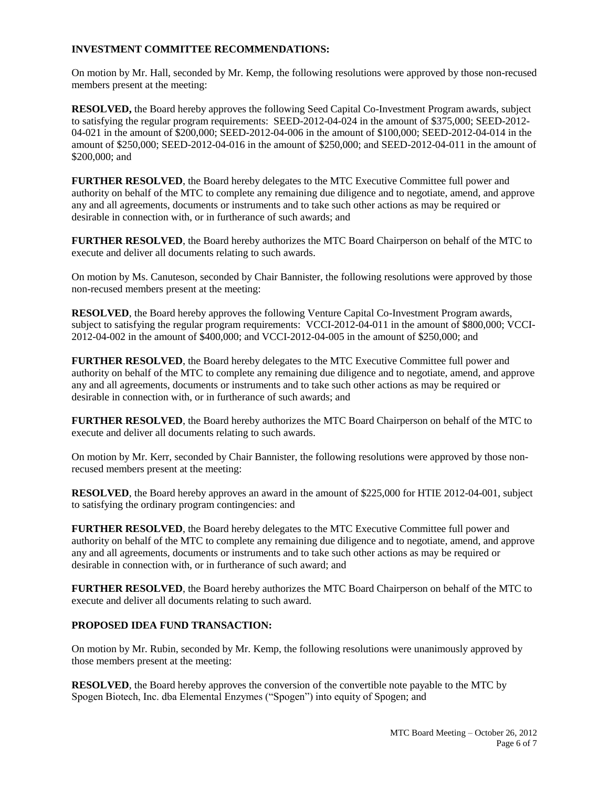## **INVESTMENT COMMITTEE RECOMMENDATIONS:**

On motion by Mr. Hall, seconded by Mr. Kemp, the following resolutions were approved by those non-recused members present at the meeting:

**RESOLVED,** the Board hereby approves the following Seed Capital Co-Investment Program awards, subject to satisfying the regular program requirements: SEED-2012-04-024 in the amount of \$375,000; SEED-2012- 04-021 in the amount of \$200,000; SEED-2012-04-006 in the amount of \$100,000; SEED-2012-04-014 in the amount of \$250,000; SEED-2012-04-016 in the amount of \$250,000; and SEED-2012-04-011 in the amount of \$200,000; and

**FURTHER RESOLVED**, the Board hereby delegates to the MTC Executive Committee full power and authority on behalf of the MTC to complete any remaining due diligence and to negotiate, amend, and approve any and all agreements, documents or instruments and to take such other actions as may be required or desirable in connection with, or in furtherance of such awards; and

**FURTHER RESOLVED**, the Board hereby authorizes the MTC Board Chairperson on behalf of the MTC to execute and deliver all documents relating to such awards.

On motion by Ms. Canuteson, seconded by Chair Bannister, the following resolutions were approved by those non-recused members present at the meeting:

**RESOLVED**, the Board hereby approves the following Venture Capital Co-Investment Program awards, subject to satisfying the regular program requirements: VCCI-2012-04-011 in the amount of \$800,000; VCCI-2012-04-002 in the amount of \$400,000; and VCCI-2012-04-005 in the amount of \$250,000; and

**FURTHER RESOLVED**, the Board hereby delegates to the MTC Executive Committee full power and authority on behalf of the MTC to complete any remaining due diligence and to negotiate, amend, and approve any and all agreements, documents or instruments and to take such other actions as may be required or desirable in connection with, or in furtherance of such awards; and

**FURTHER RESOLVED**, the Board hereby authorizes the MTC Board Chairperson on behalf of the MTC to execute and deliver all documents relating to such awards.

On motion by Mr. Kerr, seconded by Chair Bannister, the following resolutions were approved by those nonrecused members present at the meeting:

**RESOLVED**, the Board hereby approves an award in the amount of \$225,000 for HTIE 2012-04-001, subject to satisfying the ordinary program contingencies: and

**FURTHER RESOLVED**, the Board hereby delegates to the MTC Executive Committee full power and authority on behalf of the MTC to complete any remaining due diligence and to negotiate, amend, and approve any and all agreements, documents or instruments and to take such other actions as may be required or desirable in connection with, or in furtherance of such award; and

**FURTHER RESOLVED**, the Board hereby authorizes the MTC Board Chairperson on behalf of the MTC to execute and deliver all documents relating to such award.

## **PROPOSED IDEA FUND TRANSACTION:**

On motion by Mr. Rubin, seconded by Mr. Kemp, the following resolutions were unanimously approved by those members present at the meeting:

**RESOLVED**, the Board hereby approves the conversion of the convertible note payable to the MTC by Spogen Biotech, Inc. dba Elemental Enzymes ("Spogen") into equity of Spogen; and